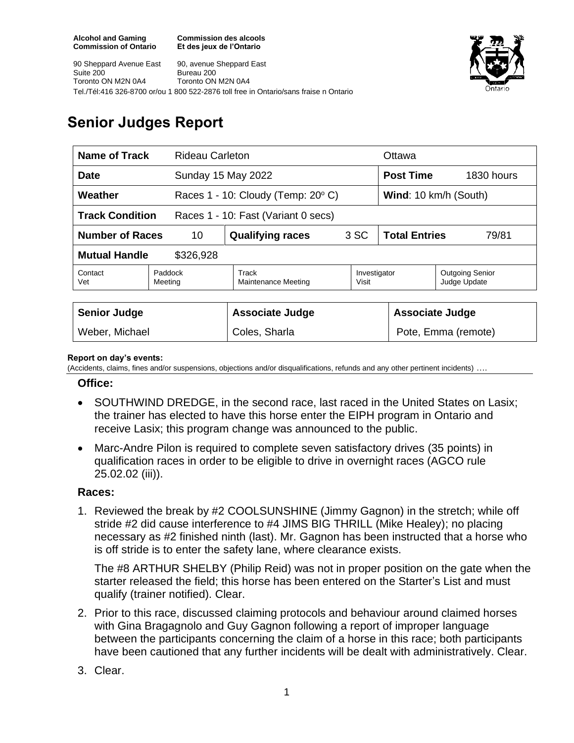**Commission des alcools Et des jeux de l'Ontario**





# **Senior Judges Report**

| Name of Track<br><b>Rideau Carleton</b>                       |                    |                                                |                       | Ottawa                        |                                        |  |
|---------------------------------------------------------------|--------------------|------------------------------------------------|-----------------------|-------------------------------|----------------------------------------|--|
| <b>Date</b>                                                   |                    | Sunday 15 May 2022                             |                       | <b>Post Time</b>              | 1830 hours                             |  |
| Weather                                                       |                    | Races $1 - 10$ : Cloudy (Temp: 20 $\degree$ C) |                       | Wind: 10 km/h (South)         |                                        |  |
| <b>Track Condition</b><br>Races 1 - 10: Fast (Variant 0 secs) |                    |                                                |                       |                               |                                        |  |
| <b>Number of Races</b><br>10                                  |                    | <b>Qualifying races</b>                        | 3 SC                  | <b>Total Entries</b><br>79/81 |                                        |  |
| <b>Mutual Handle</b><br>\$326,928                             |                    |                                                |                       |                               |                                        |  |
| Contact<br>Vet                                                | Paddock<br>Meeting | Track<br><b>Maintenance Meeting</b>            | Investigator<br>Visit |                               | <b>Outgoing Senior</b><br>Judge Update |  |
|                                                               |                    |                                                |                       |                               |                                        |  |
| <b>Senior Judge</b>                                           |                    | <b>Associate Judge</b>                         |                       |                               | <b>Associate Judge</b>                 |  |
| Weber, Michael                                                |                    | Coles, Sharla                                  |                       |                               | Pote, Emma (remote)                    |  |

#### **Report on day's events:**

(Accidents, claims, fines and/or suspensions, objections and/or disqualifications, refunds and any other pertinent incidents) ….

#### **Office:**

- SOUTHWIND DREDGE, in the second race, last raced in the United States on Lasix; the trainer has elected to have this horse enter the EIPH program in Ontario and receive Lasix; this program change was announced to the public.
- Marc-Andre Pilon is required to complete seven satisfactory drives (35 points) in qualification races in order to be eligible to drive in overnight races (AGCO rule 25.02.02 (iii)).

### **Races:**

1. Reviewed the break by #2 COOLSUNSHINE (Jimmy Gagnon) in the stretch; while off stride #2 did cause interference to #4 JIMS BIG THRILL (Mike Healey); no placing necessary as #2 finished ninth (last). Mr. Gagnon has been instructed that a horse who is off stride is to enter the safety lane, where clearance exists.

The #8 ARTHUR SHELBY (Philip Reid) was not in proper position on the gate when the starter released the field; this horse has been entered on the Starter's List and must qualify (trainer notified). Clear.

2. Prior to this race, discussed claiming protocols and behaviour around claimed horses with Gina Bragagnolo and Guy Gagnon following a report of improper language between the participants concerning the claim of a horse in this race; both participants have been cautioned that any further incidents will be dealt with administratively. Clear.

## 3. Clear.